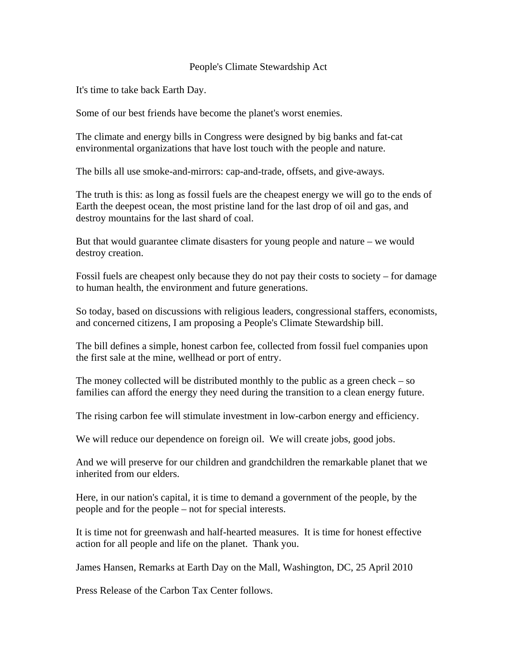## People's Climate Stewardship Act

It's time to take back Earth Day.

Some of our best friends have become the planet's worst enemies.

The climate and energy bills in Congress were designed by big banks and fat-cat environmental organizations that have lost touch with the people and nature.

The bills all use smoke-and-mirrors: cap-and-trade, offsets, and give-aways.

The truth is this: as long as fossil fuels are the cheapest energy we will go to the ends of Earth the deepest ocean, the most pristine land for the last drop of oil and gas, and destroy mountains for the last shard of coal.

But that would guarantee climate disasters for young people and nature – we would destroy creation.

Fossil fuels are cheapest only because they do not pay their costs to society – for damage to human health, the environment and future generations.

So today, based on discussions with religious leaders, congressional staffers, economists, and concerned citizens, I am proposing a People's Climate Stewardship bill.

The bill defines a simple, honest carbon fee, collected from fossil fuel companies upon the first sale at the mine, wellhead or port of entry.

The money collected will be distributed monthly to the public as a green check  $-$  so families can afford the energy they need during the transition to a clean energy future.

The rising carbon fee will stimulate investment in low-carbon energy and efficiency.

We will reduce our dependence on foreign oil. We will create jobs, good jobs.

And we will preserve for our children and grandchildren the remarkable planet that we inherited from our elders.

Here, in our nation's capital, it is time to demand a government of the people, by the people and for the people – not for special interests.

It is time not for greenwash and half-hearted measures. It is time for honest effective action for all people and life on the planet. Thank you.

James Hansen, Remarks at Earth Day on the Mall, Washington, DC, 25 April 2010

Press Release of the Carbon Tax Center follows.